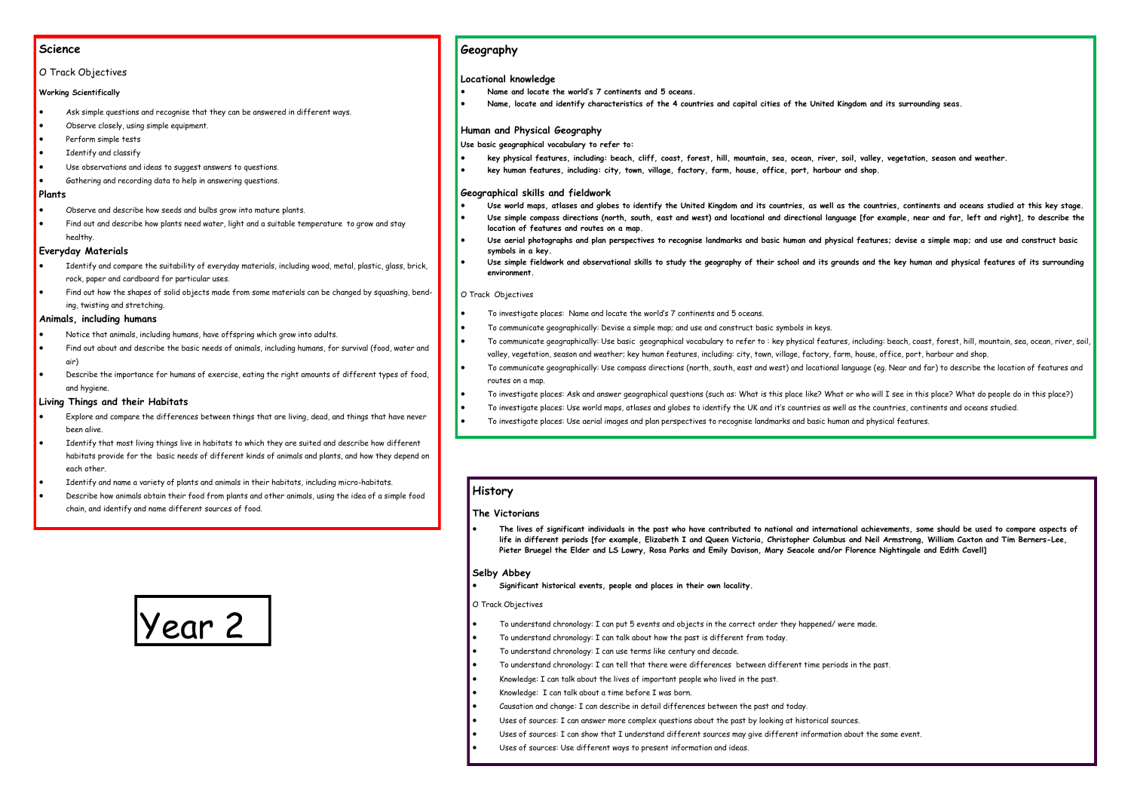## **Science**

#### O Track Objectives

#### **Working Scientifically**

- Ask simple questions and recognise that they can be answered in different ways.
- Observe closely, using simple equipment.
- Perform simple tests
- Identify and classify
- Use observations and ideas to suggest answers to questions.
- Gathering and recording data to help in answering questions.

#### **Plants**

- Observe and describe how seeds and bulbs grow into mature plants.
- Find out and describe how plants need water, light and a suitable temperature to grow and stay healthy.

#### **Everyday Materials**

- Identify and compare the suitability of everyday materials, including wood, metal, plastic, glass, brick, rock, paper and cardboard for particular uses.
- Find out how the shapes of solid objects made from some materials can be changed by squashing, bending, twisting and stretching.

#### **Animals, including humans**

- Notice that animals, including humans, have offspring which grow into adults.
- Find out about and describe the basic needs of animals, including humans, for survival (food, water and air)
- Describe the importance for humans of exercise, eating the right amounts of different types of food, and hygiene.

#### **Living Things and their Habitats**

- Explore and compare the differences between things that are living, dead, and things that have never been alive.
- Identify that most living things live in habitats to which they are suited and describe how different habitats provide for the basic needs of different kinds of animals and plants, and how they depend on each other.
- Identify and name a variety of plants and animals in their habitats, including micro-habitats.
- Describe how animals obtain their food from plants and other animals, using the idea of a simple food chain, and identify and name different sources of food.

# Year 2

# **Geography**

#### **Locational knowledge**

- **Name and locate the world's 7 continents and 5 oceans.**
- **Name, locate and identify characteristics of the 4 countries and capital cities of the United Kingdom and its surrounding seas.**

#### **Human and Physical Geography**

**Use basic geographical vocabulary to refer to:** 

- **key physical features, including: beach, cliff, coast, forest, hill, mountain, sea, ocean, river, soil, valley, vegetation, season and weather.**
- **key human features, including: city, town, village, factory, farm, house, office, port, harbour and shop.**

### **Geographical skills and fieldwork**

- **Use world maps, atlases and globes to identify the United Kingdom and its countries, as well as the countries, continents and oceans studied at this key stage.**
- **Use simple compass directions (north, south, east and west) and locational and directional language [for example, near and far, left and right], to describe the location of features and routes on a map.**
- **Use aerial photographs and plan perspectives to recognise landmarks and basic human and physical features; devise a simple map; and use and construct basic symbols in a key.**
- **Use simple fieldwork and observational skills to study the geography of their school and its grounds and the key human and physical features of its surrounding environment.**

#### O Track Objectives

- To investigate places: Name and locate the world's 7 continents and 5 oceans.
- To communicate geographically: Devise a simple map; and use and construct basic symbols in keys.
- To communicate geographically: Use basic geographical vocabulary to refer to : key physical features, including: beach, coast, forest, hill, mountain, sea, ocean, river, soil, valley, vegetation, season and weather; key human features, including: city, town, village, factory, farm, house, office, port, harbour and shop.
- To communicate geographically: Use compass directions (north, south, east and west) and locational language (eg. Near and far) to describe the location of features and routes on a map.
- To investigate places: Ask and answer geographical questions (such as: What is this place like? What or who will I see in this place? What do people do in this place?)
- To investigate places: Use world maps, atlases and globes to identify the UK and it's countries as well as the countries, continents and oceans studied.
- To investigate places: Use aerial images and plan perspectives to recognise landmarks and basic human and physical features.

# **History**

#### **The Victorians**

 **The lives of significant individuals in the past who have contributed to national and international achievements, some should be used to compare aspects of life in different periods [for example, Elizabeth I and Queen Victoria, Christopher Columbus and Neil Armstrong, William Caxton and Tim Berners-Lee, Pieter Bruegel the Elder and LS Lowry, Rosa Parks and Emily Davison, Mary Seacole and/or Florence Nightingale and Edith Cavell]**

#### **Selby Abbey**

**Significant historical events, people and places in their own locality.**

#### O Track Objectives

- To understand chronology: I can put 5 events and objects in the correct order they happened/ were made.
- To understand chronology: I can talk about how the past is different from today.
- To understand chronology: I can use terms like century and decade.
- To understand chronology: I can tell that there were differences between different time periods in the past.
- Knowledge: I can talk about the lives of important people who lived in the past.
- Knowledge: I can talk about a time before I was born.
- Causation and change: I can describe in detail differences between the past and today.
- Uses of sources: I can answer more complex questions about the past by looking at historical sources.
- Uses of sources: I can show that I understand different sources may give different information about the same event. Uses of sources: Use different ways to present information and ideas.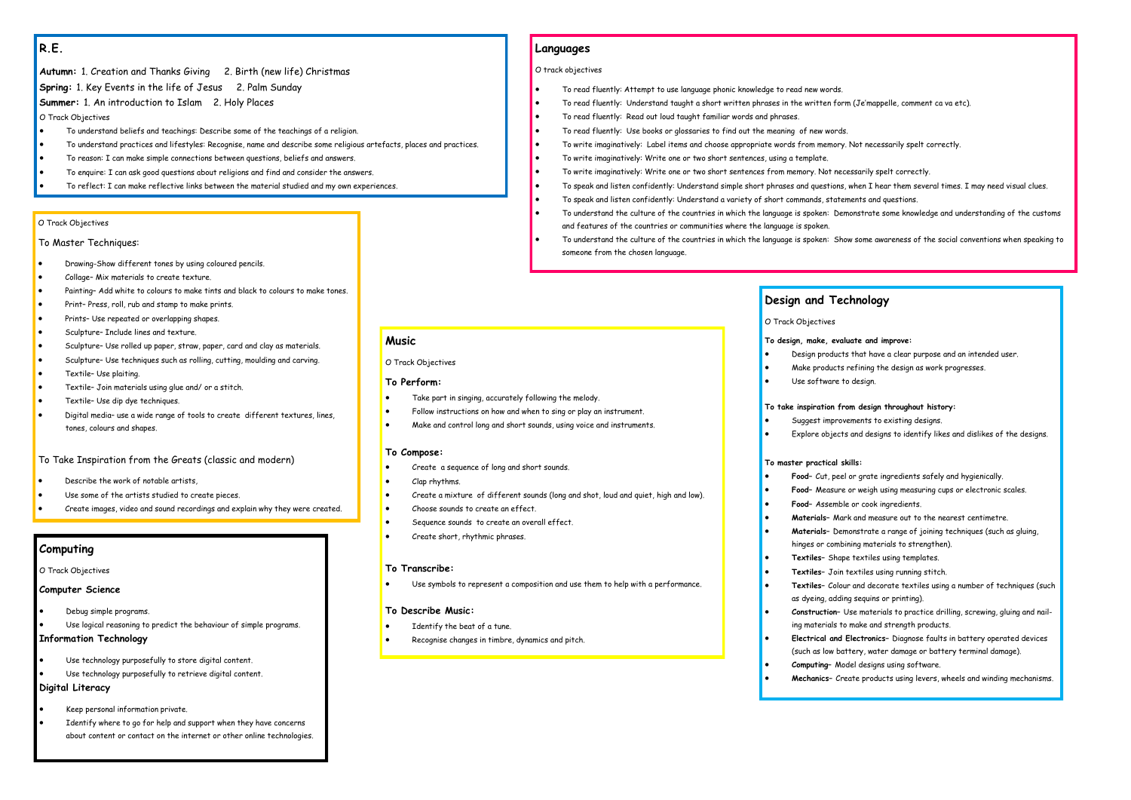# **R.E.**

**Autumn:** 1. Creation and Thanks Giving 2. Birth (new life) Christmas **Spring:** 1. Key Events in the life of Jesus 2. Palm Sunday

**Summer:** 1. An introduction to Islam 2. Holy Places

O Track Objectives

- To understand beliefs and teachings: Describe some of the teachings of a religion.
- To understand practices and lifestyles: Recognise, name and describe some religious artefacts, places and practices.
- To reason: I can make simple connections between questions, beliefs and answers.
- To enquire: I can ask good questions about religions and find and consider the answers.
- To reflect: I can make reflective links between the material studied and my own experiences.

# **Languages**

O track objectives

- To read fluently: Attempt to use language phonic knowledge to read new words.
- To read fluently: Understand taught a short written phrases in the written form (Je'mappelle, comment ca va etc).
- To read fluently: Read out loud taught familiar words and phrases.
- To read fluently: Use books or glossaries to find out the meaning of new words.
- To write imaginatively: Label items and choose appropriate words from memory. Not necessarily spelt correctly.
- To write imaginatively: Write one or two short sentences, using a template.
- To write imaginatively: Write one or two short sentences from memory. Not necessarily spelt correctly.
- To speak and listen confidently: Understand simple short phrases and questions, when I hear them several times. I may need visual clues.
- To speak and listen confidently: Understand a variety of short commands, statements and questions.
- To understand the culture of the countries in which the language is spoken: Demonstrate some knowledge and understanding of the customs and features of the countries or communities where the language is spoken.
- To understand the culture of the countries in which the language is spoken: Show some awareness of the social conventions when speaking to someone from the chosen language.

- Create a sequence of long and short sounds.
- Clap rhythms.
- Create a mixture of different sounds (long and shot, loud and quiet, high and low).
- Choose sounds to create an effect.
- Sequence sounds to create an overall effect.
- Create short, rhythmic phrases.

# **Computing**

O Track Objectives

#### **Computer Science**

- Debug simple programs.
- Use logical reasoning to predict the behaviour of simple programs.

#### **Information Technology**

- Use technology purposefully to store digital content.
- Use technology purposefully to retrieve digital content.

#### **Digital Literacy**

- Keep personal information private.
- Identify where to go for help and support when they have concerns about content or contact on the internet or other online technologies.

# **Music**

#### O Track Objectives

### **To Perform:**

- Take part in singing, accurately following the melody.
- Follow instructions on how and when to sing or play an instrument.
- Make and control long and short sounds, using voice and instruments.

#### **To Compose:**

#### **To Transcribe:**

Use symbols to represent a composition and use them to help with a performance.

#### **To Describe Music:**

- Identify the beat of a tune.
- Recognise changes in timbre, dynamics and pitch.
- 
- 
- 
- 
- 
- 

#### O Track Objectives

To Master Techniques:

- Drawing-Show different tones by using coloured pencils.
- Collage– Mix materials to create texture.
- Painting– Add white to colours to make tints and black to colours to make tones.
- Print– Press, roll, rub and stamp to make prints.
- Prints– Use repeated or overlapping shapes.
- Sculpture– Include lines and texture.
- Sculpture– Use rolled up paper, straw, paper, card and clay as materials.
- Sculpture– Use techniques such as rolling, cutting, moulding and carving.
- Textile– Use plaiting.
- Textile– Join materials using glue and/ or a stitch.
- Textile– Use dip dye techniques.
- Digital media– use a wide range of tools to create different textures, lines, tones, colours and shapes.

## To Take Inspiration from the Greats (classic and modern)

- Describe the work of notable artists,
- Use some of the artists studied to create pieces.
- Create images, video and sound recordings and explain why they were created.

# **Design and Technology**

#### O Track Objectives

#### **To design, make, evaluate and improve:**

 Design products that have a clear purpose and an intended user. Make products refining the design as work progresses.

- 
- Use software to design.

#### **To take inspiration from design throughout history:**

- 
- 

Suggest improvements to existing designs.

Explore objects and designs to identify likes and dislikes of the designs.

#### **To master practical skills:**

**Food–** Cut, peel or grate ingredients safely and hygienically.

**Food–** Measure or weigh using measuring cups or electronic scales.

**Food–** Assemble or cook ingredients.

**Materials–** Mark and measure out to the nearest centimetre.

**Materials–** Demonstrate a range of joining techniques (such as gluing,

hinges or combining materials to strengthen).

**Textiles–** Shape textiles using templates.

**Textiles–** Join textiles using running stitch.

 **Textiles–** Colour and decorate textiles using a number of techniques (such as dyeing, adding sequins or printing).

 **Construction–** Use materials to practice drilling, screwing, gluing and nailing materials to make and strength products.

 **Electrical and Electronics–** Diagnose faults in battery operated devices (such as low battery, water damage or battery terminal damage).

- 
- 
- -
	-
	-
	-
	-
	-
	-
	- **Computing–** Model designs using software.
	-

**Mechanics–** Create products using levers, wheels and winding mechanisms.